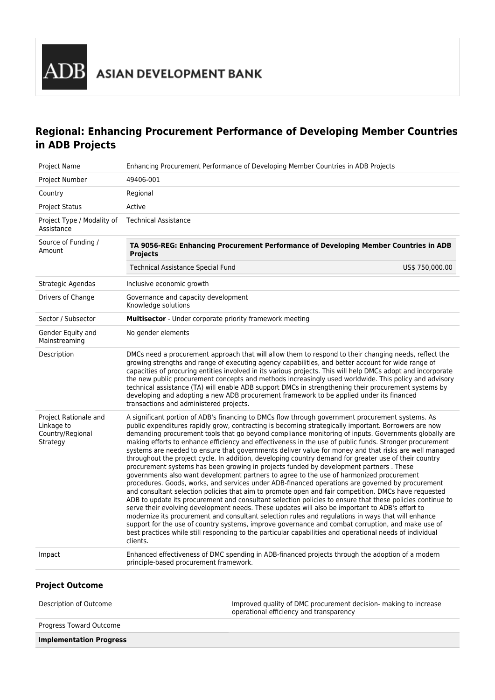# **Regional: Enhancing Procurement Performance of Developing Member Countries in ADB Projects**

| Project Name                                                        | Enhancing Procurement Performance of Developing Member Countries in ADB Projects                                                                                                                                                                                                                                                                                                                                                                                                                                                                                                                                                                                                                                                                                                                                                                                                                                                                                                                                                                                                                                                                                                                                                                                                                                                                                                                                                                                                                                                                                                                   |  |  |  |  |  |  |
|---------------------------------------------------------------------|----------------------------------------------------------------------------------------------------------------------------------------------------------------------------------------------------------------------------------------------------------------------------------------------------------------------------------------------------------------------------------------------------------------------------------------------------------------------------------------------------------------------------------------------------------------------------------------------------------------------------------------------------------------------------------------------------------------------------------------------------------------------------------------------------------------------------------------------------------------------------------------------------------------------------------------------------------------------------------------------------------------------------------------------------------------------------------------------------------------------------------------------------------------------------------------------------------------------------------------------------------------------------------------------------------------------------------------------------------------------------------------------------------------------------------------------------------------------------------------------------------------------------------------------------------------------------------------------------|--|--|--|--|--|--|
| Project Number                                                      | 49406-001                                                                                                                                                                                                                                                                                                                                                                                                                                                                                                                                                                                                                                                                                                                                                                                                                                                                                                                                                                                                                                                                                                                                                                                                                                                                                                                                                                                                                                                                                                                                                                                          |  |  |  |  |  |  |
| Country                                                             | Regional                                                                                                                                                                                                                                                                                                                                                                                                                                                                                                                                                                                                                                                                                                                                                                                                                                                                                                                                                                                                                                                                                                                                                                                                                                                                                                                                                                                                                                                                                                                                                                                           |  |  |  |  |  |  |
| <b>Project Status</b>                                               | Active                                                                                                                                                                                                                                                                                                                                                                                                                                                                                                                                                                                                                                                                                                                                                                                                                                                                                                                                                                                                                                                                                                                                                                                                                                                                                                                                                                                                                                                                                                                                                                                             |  |  |  |  |  |  |
| Project Type / Modality of<br>Assistance                            | <b>Technical Assistance</b>                                                                                                                                                                                                                                                                                                                                                                                                                                                                                                                                                                                                                                                                                                                                                                                                                                                                                                                                                                                                                                                                                                                                                                                                                                                                                                                                                                                                                                                                                                                                                                        |  |  |  |  |  |  |
| Source of Funding /<br>Amount                                       | TA 9056-REG: Enhancing Procurement Performance of Developing Member Countries in ADB<br><b>Projects</b>                                                                                                                                                                                                                                                                                                                                                                                                                                                                                                                                                                                                                                                                                                                                                                                                                                                                                                                                                                                                                                                                                                                                                                                                                                                                                                                                                                                                                                                                                            |  |  |  |  |  |  |
|                                                                     | Technical Assistance Special Fund<br>US\$ 750,000.00                                                                                                                                                                                                                                                                                                                                                                                                                                                                                                                                                                                                                                                                                                                                                                                                                                                                                                                                                                                                                                                                                                                                                                                                                                                                                                                                                                                                                                                                                                                                               |  |  |  |  |  |  |
| Strategic Agendas                                                   | Inclusive economic growth                                                                                                                                                                                                                                                                                                                                                                                                                                                                                                                                                                                                                                                                                                                                                                                                                                                                                                                                                                                                                                                                                                                                                                                                                                                                                                                                                                                                                                                                                                                                                                          |  |  |  |  |  |  |
| Drivers of Change                                                   | Governance and capacity development<br>Knowledge solutions                                                                                                                                                                                                                                                                                                                                                                                                                                                                                                                                                                                                                                                                                                                                                                                                                                                                                                                                                                                                                                                                                                                                                                                                                                                                                                                                                                                                                                                                                                                                         |  |  |  |  |  |  |
| Sector / Subsector                                                  | Multisector - Under corporate priority framework meeting                                                                                                                                                                                                                                                                                                                                                                                                                                                                                                                                                                                                                                                                                                                                                                                                                                                                                                                                                                                                                                                                                                                                                                                                                                                                                                                                                                                                                                                                                                                                           |  |  |  |  |  |  |
| Gender Equity and<br>Mainstreaming                                  | No gender elements                                                                                                                                                                                                                                                                                                                                                                                                                                                                                                                                                                                                                                                                                                                                                                                                                                                                                                                                                                                                                                                                                                                                                                                                                                                                                                                                                                                                                                                                                                                                                                                 |  |  |  |  |  |  |
| Description                                                         | DMCs need a procurement approach that will allow them to respond to their changing needs, reflect the<br>growing strengths and range of executing agency capabilities, and better account for wide range of<br>capacities of procuring entities involved in its various projects. This will help DMCs adopt and incorporate<br>the new public procurement concepts and methods increasingly used worldwide. This policy and advisory<br>technical assistance (TA) will enable ADB support DMCs in strengthening their procurement systems by<br>developing and adopting a new ADB procurement framework to be applied under its financed<br>transactions and administered projects.                                                                                                                                                                                                                                                                                                                                                                                                                                                                                                                                                                                                                                                                                                                                                                                                                                                                                                                |  |  |  |  |  |  |
| Project Rationale and<br>Linkage to<br>Country/Regional<br>Strategy | A significant portion of ADB's financing to DMCs flow through government procurement systems. As<br>public expenditures rapidly grow, contracting is becoming strategically important. Borrowers are now<br>demanding procurement tools that go beyond compliance monitoring of inputs. Governments globally are<br>making efforts to enhance efficiency and effectiveness in the use of public funds. Stronger procurement<br>systems are needed to ensure that governments deliver value for money and that risks are well managed<br>throughout the project cycle. In addition, developing country demand for greater use of their country<br>procurement systems has been growing in projects funded by development partners. These<br>governments also want development partners to agree to the use of harmonized procurement<br>procedures. Goods, works, and services under ADB-financed operations are governed by procurement<br>and consultant selection policies that aim to promote open and fair competition. DMCs have requested<br>ADB to update its procurement and consultant selection policies to ensure that these policies continue to<br>serve their evolving development needs. These updates will also be important to ADB's effort to<br>modernize its procurement and consultant selection rules and regulations in ways that will enhance<br>support for the use of country systems, improve governance and combat corruption, and make use of<br>best practices while still responding to the particular capabilities and operational needs of individual<br>clients. |  |  |  |  |  |  |
| Impact                                                              | Enhanced effectiveness of DMC spending in ADB-financed projects through the adoption of a modern<br>principle-based procurement framework.                                                                                                                                                                                                                                                                                                                                                                                                                                                                                                                                                                                                                                                                                                                                                                                                                                                                                                                                                                                                                                                                                                                                                                                                                                                                                                                                                                                                                                                         |  |  |  |  |  |  |
|                                                                     |                                                                                                                                                                                                                                                                                                                                                                                                                                                                                                                                                                                                                                                                                                                                                                                                                                                                                                                                                                                                                                                                                                                                                                                                                                                                                                                                                                                                                                                                                                                                                                                                    |  |  |  |  |  |  |

# **Project Outcome**

| Description of Outcome         | Improved quality of DMC procurement decision- making to increase<br>operational efficiency and transparency |
|--------------------------------|-------------------------------------------------------------------------------------------------------------|
| Progress Toward Outcome        |                                                                                                             |
| <b>Implementation Progress</b> |                                                                                                             |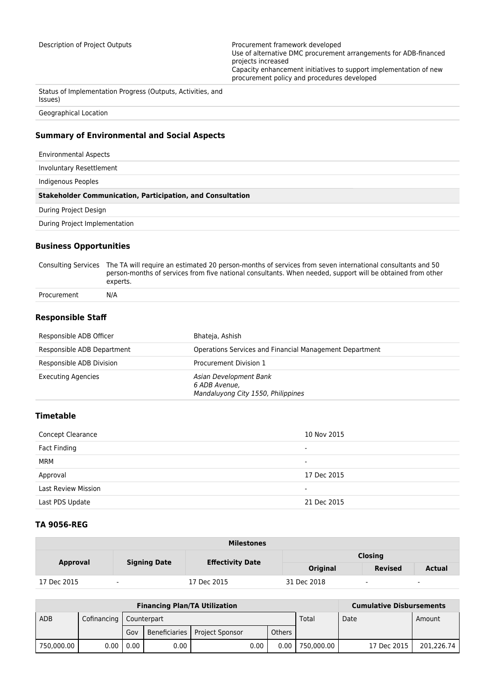Description of Project Outputs **Processition** Procurement framework developed Use of alternative DMC procurement arrangements for ADB-financed projects increased Capacity enhancement initiatives to support implementation of new procurement policy and procedures developed

Status of Implementation Progress (Outputs, Activities, and Issues)

Geographical Location

## **Summary of Environmental and Social Aspects**

Environmental Aspects

Involuntary Resettlement

Indigenous Peoples

#### **Stakeholder Communication, Participation, and Consultation**

During Project Design

During Project Implementation

## **Business Opportunities**

Consulting Services The TA will require an estimated 20 person-months of services from seven international consultants and 50 person-months of services from five national consultants. When needed, support will be obtained from other experts. Procurement N/A

#### **Responsible Staff**

| Responsible ADB Officer    | Bhateja, Ashish                                                               |
|----------------------------|-------------------------------------------------------------------------------|
| Responsible ADB Department | Operations Services and Financial Management Department                       |
| Responsible ADB Division   | Procurement Division 1                                                        |
| <b>Executing Agencies</b>  | Asian Development Bank<br>6 ADB Avenue,<br>Mandaluyong City 1550, Philippines |

## **Timetable**

| <b>Concept Clearance</b>   | 10 Nov 2015              |
|----------------------------|--------------------------|
| Fact Finding               | -                        |
| MRM                        | $\overline{\phantom{0}}$ |
| Approval                   | 17 Dec 2015              |
| <b>Last Review Mission</b> | $\overline{\phantom{0}}$ |
| Last PDS Update            | 21 Dec 2015              |

## **TA 9056-REG**

| <b>Milestones</b> |                          |                         |                 |                |               |  |
|-------------------|--------------------------|-------------------------|-----------------|----------------|---------------|--|
| Approval          | <b>Signing Date</b>      |                         | <b>Closing</b>  |                |               |  |
|                   |                          | <b>Effectivity Date</b> | <b>Original</b> | <b>Revised</b> | <b>Actual</b> |  |
| 17 Dec 2015       | $\overline{\phantom{a}}$ | 17 Dec 2015             | 31 Dec 2018     | ٠              | ٠             |  |

| <b>Financing Plan/TA Utilization</b> |             |             |             |                                 |      |        |            | <b>Cumulative Disbursements</b> |             |            |
|--------------------------------------|-------------|-------------|-------------|---------------------------------|------|--------|------------|---------------------------------|-------------|------------|
| <b>ADB</b>                           | Cofinancing |             | Counterpart |                                 |      |        | Total      | Date                            |             | Amount     |
|                                      |             | Gov         |             | Beneficiaries   Project Sponsor |      | Others |            |                                 |             |            |
| 750,000.00                           |             | 0.00 1 0.00 | 0.00        |                                 | 0.00 | 0.00   | 750.000.00 |                                 | 17 Dec 2015 | 201.226.74 |